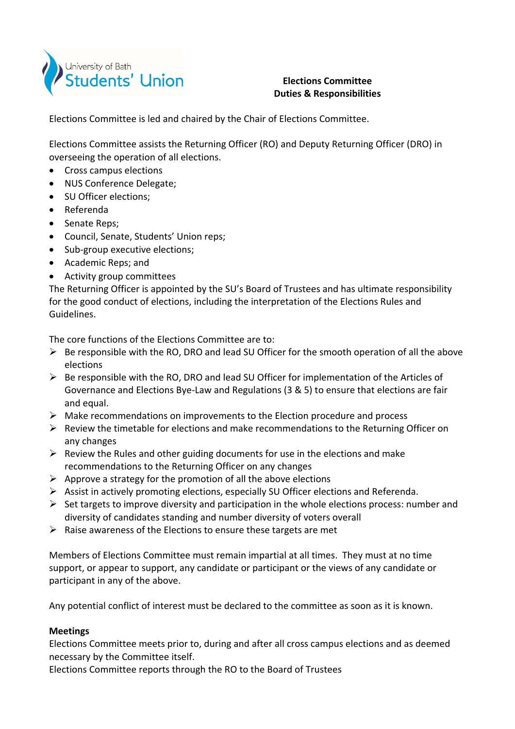

## **Elections Committee Duties & Responsibilities**

Elections Committee is led and chaired by the Chair of Elections Committee.

Elections Committee assists the Returning Officer (RO) and Deputy Returning Officer (DRO) in overseeing the operation of all elections.

- Cross campus elections
- NUS Conference Delegate;
- SU Officer elections;
- Referenda
- Senate Reps;
- Council, Senate, Students' Union reps;
- Sub-group executive elections;
- Academic Reps; and
- Activity group committees

The Returning Officer is appointed by the SU's Board of Trustees and has ultimate responsibility for the good conduct of elections, including the interpretation of the Elections Rules and Guidelines.

The core functions of the Elections Committee are to:

- $\triangleright$  Be responsible with the RO, DRO and lead SU Officer for the smooth operation of all the above elections
- $\triangleright$  Be responsible with the RO, DRO and lead SU Officer for implementation of the Articles of Governance and Elections Bye‐Law and Regulations (3 & 5) to ensure that elections are fair and equal.
- $\triangleright$  Make recommendations on improvements to the Election procedure and process
- $\triangleright$  Review the timetable for elections and make recommendations to the Returning Officer on any changes
- $\triangleright$  Review the Rules and other guiding documents for use in the elections and make recommendations to the Returning Officer on any changes
- $\triangleright$  Approve a strategy for the promotion of all the above elections
- $\triangleright$  Assist in actively promoting elections, especially SU Officer elections and Referenda.
- $\triangleright$  Set targets to improve diversity and participation in the whole elections process: number and diversity of candidates standing and number diversity of voters overall
- $\triangleright$  Raise awareness of the Elections to ensure these targets are met

Members of Elections Committee must remain impartial at all times. They must at no time support, or appear to support, any candidate or participant or the views of any candidate or participant in any of the above.

Any potential conflict of interest must be declared to the committee as soon as it is known.

## **Meetings**

Elections Committee meets prior to, during and after all cross campus elections and as deemed necessary by the Committee itself.

Elections Committee reports through the RO to the Board of Trustees